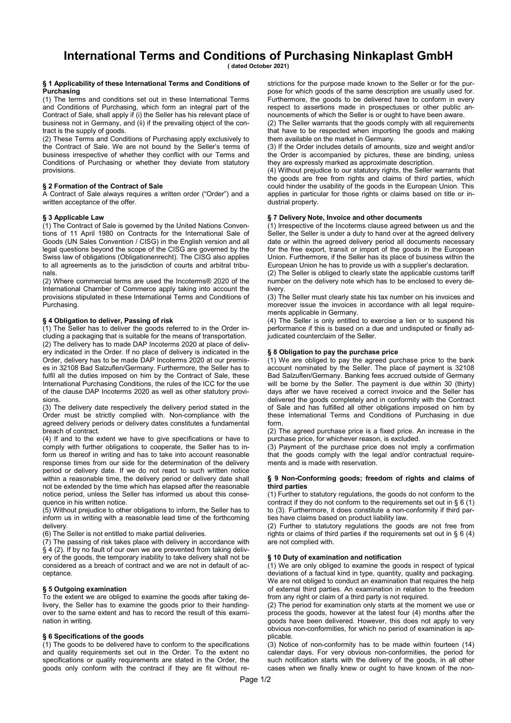# International Terms and Conditions of Purchasing Ninkaplast GmbH

( dated October 2021)

#### § 1 Applicability of these International Terms and Conditions of **Purchasing**

(1) The terms and conditions set out in these International Terms and Conditions of Purchasing, which form an integral part of the Contract of Sale, shall apply if (i) the Seller has his relevant place of business not in Germany, and (ii) if the prevailing object of the contract is the supply of goods.

(2) These Terms and Conditions of Purchasing apply exclusively to the Contract of Sale. We are not bound by the Seller's terms of business irrespective of whether they conflict with our Terms and Conditions of Purchasing or whether they deviate from statutory provisions.

# § 2 Formation of the Contract of Sale

A Contract of Sale always requires a written order ("Order") and a written acceptance of the offer.

# § 3 Applicable Law

(1) The Contract of Sale is governed by the United Nations Conventions of 11 April 1980 on Contracts for the International Sale of Goods (UN Sales Convention / CISG) in the English version and all legal questions beyond the scope of the CISG are governed by the Swiss law of obligations (Obligationenrecht). The CISG also applies to all agreements as to the jurisdiction of courts and arbitral tribunals.

(2) Where commercial terms are used the Incoterms® 2020 of the International Chamber of Commerce apply taking into account the provisions stipulated in these International Terms and Conditions of Purchasing.

## § 4 Obligation to deliver, Passing of risk

(1) The Seller has to deliver the goods referred to in the Order including a packaging that is suitable for the means of transportation.

(2) The delivery has to made DAP Incoterms 2020 at place of delivery indicated in the Order. If no place of delivery is indicated in the Order, delivery has to be made DAP Incoterms 2020 at our premises in 32108 Bad Salzuflen/Germany. Furthermore, the Seller has to fulfil all the duties imposed on him by the Contract of Sale, these International Purchasing Conditions, the rules of the ICC for the use of the clause DAP Incoterms 2020 as well as other statutory provisions.

(3) The delivery date respectively the delivery period stated in the Order must be strictly complied with. Non-compliance with the agreed delivery periods or delivery dates constitutes a fundamental breach of contract.

(4) If and to the extent we have to give specifications or have to comply with further obligations to cooperate, the Seller has to inform us thereof in writing and has to take into account reasonable response times from our side for the determination of the delivery period or delivery date. If we do not react to such written notice within a reasonable time, the delivery period or delivery date shall not be extended by the time which has elapsed after the reasonable notice period, unless the Seller has informed us about this consequence in his written notice.

(5) Without prejudice to other obligations to inform, the Seller has to inform us in writing with a reasonable lead time of the forthcoming delivery.

(6) The Seller is not entitled to make partial deliveries.

(7) The passing of risk takes place with delivery in accordance with § 4 (2). If by no fault of our own we are prevented from taking delivery of the goods, the temporary inability to take delivery shall not be considered as a breach of contract and we are not in default of acceptance.

## § 5 Outgoing examination

To the extent we are obliged to examine the goods after taking delivery, the Seller has to examine the goods prior to their handingover to the same extent and has to record the result of this examination in writing.

## § 6 Specifications of the goods

(1) The goods to be delivered have to conform to the specifications and quality requirements set out in the Order. To the extent no specifications or quality requirements are stated in the Order, the goods only conform with the contract if they are fit without restrictions for the purpose made known to the Seller or for the purpose for which goods of the same description are usually used for. Furthermore, the goods to be delivered have to conform in every respect to assertions made in prospectuses or other public announcements of which the Seller is or ought to have been aware.

(2) The Seller warrants that the goods comply with all requirements that have to be respected when importing the goods and making them available on the market in Germany.

(3) If the Order includes details of amounts, size and weight and/or the Order is accompanied by pictures, these are binding, unless they are expressly marked as approximate description.

(4) Without prejudice to our statutory rights, the Seller warrants that the goods are free from rights and claims of third parties, which could hinder the usability of the goods in the European Union. This applies in particular for those rights or claims based on title or industrial property.

#### § 7 Delivery Note, Invoice and other documents

(1) Irrespective of the Incoterms clause agreed between us and the Seller, the Seller is under a duty to hand over at the agreed delivery date or within the agreed delivery period all documents necessary for the free export, transit or import of the goods in the European Union. Furthermore, if the Seller has its place of business within the European Union he has to provide us with a supplier's declaration.

(2) The Seller is obliged to clearly state the applicable customs tariff number on the delivery note which has to be enclosed to every delivery.

(3) The Seller must clearly state his tax number on his invoices and moreover issue the invoices in accordance with all legal requirements applicable in Germany.

(4) The Seller is only entitled to exercise a lien or to suspend his performance if this is based on a due and undisputed or finally adjudicated counterclaim of the Seller.

## § 8 Obligation to pay the purchase price

(1) We are obliged to pay the agreed purchase price to the bank account nominated by the Seller. The place of payment is 32108 Bad Salzuflen/Germany. Banking fees accrued outside of Germany will be borne by the Seller. The payment is due within 30 (thirty) days after we have received a correct invoice and the Seller has delivered the goods completely and in conformity with the Contract of Sale and has fulfilled all other obligations imposed on him by these International Terms and Conditions of Purchasing in due form.

(2) The agreed purchase price is a fixed price. An increase in the purchase price, for whichever reason, is excluded.

(3) Payment of the purchase price does not imply a confirmation that the goods comply with the legal and/or contractual requirements and is made with reservation.

## § 9 Non-Conforming goods; freedom of rights and claims of third parties

(1) Further to statutory regulations, the goods do not conform to the contract if they do not conform to the requirements set out in § 6 (1) to (3). Furthermore, it does constitute a non-conformity if third parties have claims based on product liability law.

(2) Further to statutory regulations the goods are not free from rights or claims of third parties if the requirements set out in § 6 (4) are not complied with.

#### § 10 Duty of examination and notification

(1) We are only obliged to examine the goods in respect of typical deviations of a factual kind in type, quantity, quality and packaging. We are not obliged to conduct an examination that requires the help of external third parties. An examination in relation to the freedom from any right or claim of a third party is not required.

(2) The period for examination only starts at the moment we use or process the goods, however at the latest four (4) months after the goods have been delivered. However, this does not apply to very obvious non-conformities, for which no period of examination is applicable.

(3) Notice of non-conformity has to be made within fourteen (14) calendar days. For very obvious non-conformities, the period for such notification starts with the delivery of the goods, in all other cases when we finally knew or ought to have known of the non